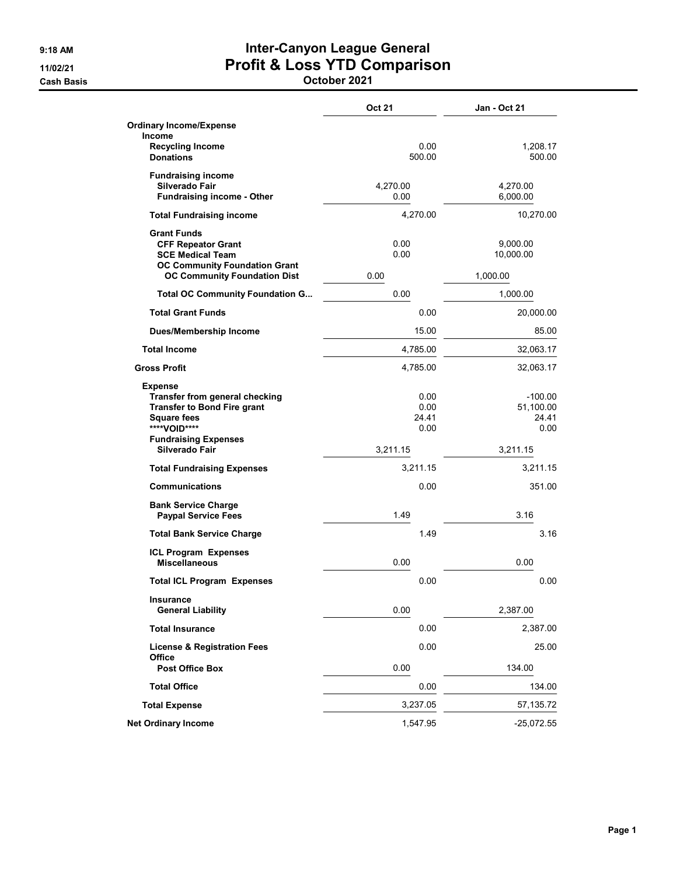## 9:18 AM **Inter-Canyon League General** 11/02/21 Profit & Loss YTD Comparison

Cash Basis October 2021

|                                                                                                                                                           | <b>Oct 21</b>                 | <b>Jan - Oct 21</b>                     |
|-----------------------------------------------------------------------------------------------------------------------------------------------------------|-------------------------------|-----------------------------------------|
| Ordinary Income/Expense                                                                                                                                   |                               |                                         |
| <b>Income</b><br><b>Recycling Income</b><br><b>Donations</b>                                                                                              | 0.00<br>500.00                | 1,208.17<br>500.00                      |
| <b>Fundraising income</b><br>Silverado Fair<br><b>Fundraising income - Other</b>                                                                          | 4,270.00<br>0.00              | 4,270.00<br>6,000.00                    |
| <b>Total Fundraising income</b>                                                                                                                           | 4,270.00                      | 10,270.00                               |
| <b>Grant Funds</b><br><b>CFF Repeator Grant</b><br><b>SCE Medical Team</b><br><b>OC Community Foundation Grant</b><br><b>OC Community Foundation Dist</b> | 0.00<br>0.00<br>0.00          | 9,000.00<br>10,000.00<br>1,000.00       |
| <b>Total OC Community Foundation G</b>                                                                                                                    | 0.00                          | 1,000.00                                |
| <b>Total Grant Funds</b>                                                                                                                                  | 0.00                          | 20,000.00                               |
| <b>Dues/Membership Income</b>                                                                                                                             | 15.00                         | 85.00                                   |
| <b>Total Income</b>                                                                                                                                       | 4,785.00                      | 32,063.17                               |
| <b>Gross Profit</b>                                                                                                                                       | 4,785.00                      | 32,063.17                               |
| <b>Expense</b><br>Transfer from general checking<br><b>Transfer to Bond Fire grant</b><br><b>Square fees</b><br>****VOID****                              | 0.00<br>0.00<br>24.41<br>0.00 | $-100.00$<br>51,100.00<br>24.41<br>0.00 |
| <b>Fundraising Expenses</b><br>Silverado Fair                                                                                                             | 3,211.15                      | 3,211.15                                |
| <b>Total Fundraising Expenses</b>                                                                                                                         | 3,211.15                      | 3,211.15                                |
| <b>Communications</b>                                                                                                                                     | 0.00                          | 351.00                                  |
| <b>Bank Service Charge</b><br><b>Paypal Service Fees</b>                                                                                                  | 1.49                          | 3.16                                    |
| <b>Total Bank Service Charge</b>                                                                                                                          | 149                           | 3.16                                    |
| <b>ICL Program Expenses</b><br><b>Miscellaneous</b>                                                                                                       | 0.00                          | 0.00                                    |
| <b>Total ICL Program Expenses</b>                                                                                                                         | 0.00                          | 0.00                                    |
| Insurance<br><b>General Liability</b>                                                                                                                     | 0.00                          | 2,387.00                                |
| <b>Total Insurance</b>                                                                                                                                    | 0.00                          | 2,387.00                                |
| <b>License &amp; Registration Fees</b><br>Office                                                                                                          | 0.00                          | 25.00                                   |
| <b>Post Office Box</b>                                                                                                                                    | 0.00                          | 134.00                                  |
| <b>Total Office</b>                                                                                                                                       | 0.00                          | 134.00                                  |
| <b>Total Expense</b>                                                                                                                                      | 3,237.05                      | 57,135.72                               |
| <b>Net Ordinary Income</b>                                                                                                                                | 1,547.95                      | $-25,072.55$                            |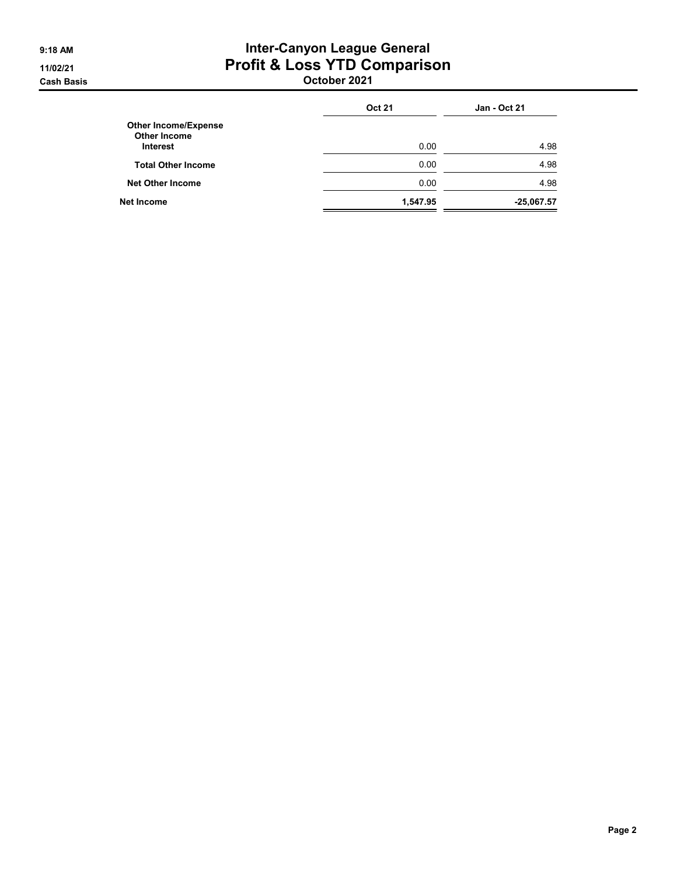#### 9:18 AM **Inter-Canyon League General** 11/02/21 Profit & Loss YTD Comparison Cash Basis October 2021

|                                                    | <b>Oct 21</b> | <b>Jan - Oct 21</b> |
|----------------------------------------------------|---------------|---------------------|
| <b>Other Income/Expense</b><br><b>Other Income</b> |               |                     |
| <b>Interest</b>                                    | 0.00          | 4.98                |
| <b>Total Other Income</b>                          | 0.00          | 4.98                |
| <b>Net Other Income</b>                            | 0.00          | 4.98                |
| <b>Net Income</b>                                  | 1,547.95      | $-25,067.57$        |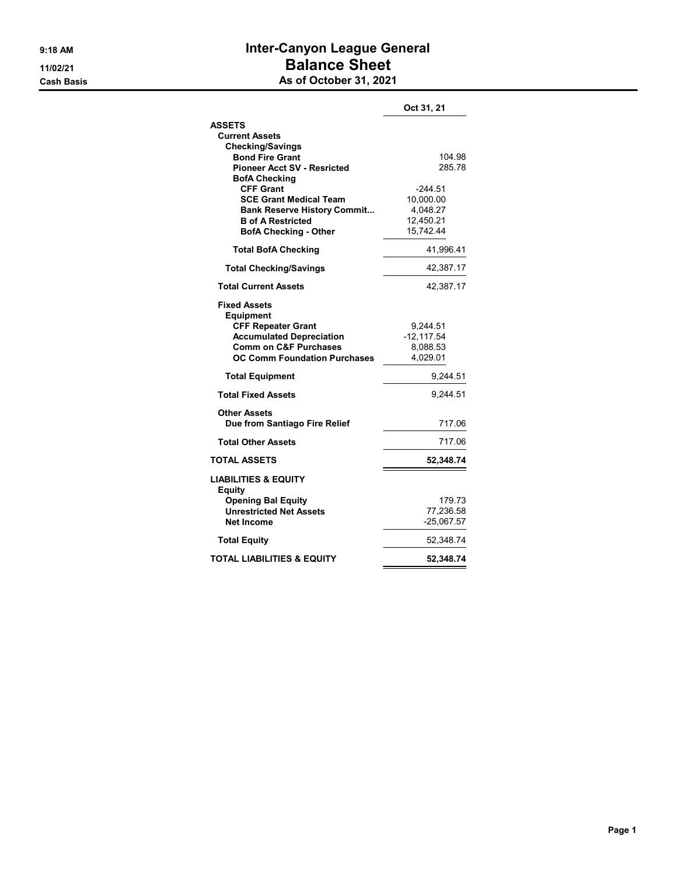#### 9:18 AM **Inter-Canyon League General** 11/02/21 **Balance Sheet** Cash Basis Cash Basis As of October 31, 2021

|                                                                                                                                                                                    | Oct 31, 21                                                   |
|------------------------------------------------------------------------------------------------------------------------------------------------------------------------------------|--------------------------------------------------------------|
| ASSETS<br><b>Current Assets</b>                                                                                                                                                    |                                                              |
| <b>Checking/Savings</b><br><b>Bond Fire Grant</b><br><b>Pioneer Acct SV - Resricted</b><br><b>BofA Checking</b>                                                                    | 104.98<br>285.78                                             |
| <b>CFF Grant</b><br><b>SCE Grant Medical Team</b><br><b>Bank Reserve History Commit</b><br><b>B</b> of A Restricted<br><b>BofA Checking - Other</b>                                | $-244.51$<br>10,000.00<br>4,048.27<br>12,450.21<br>15,742.44 |
| <b>Total BofA Checking</b>                                                                                                                                                         | 41,996.41                                                    |
| <b>Total Checking/Savings</b>                                                                                                                                                      | 42,387.17                                                    |
| <b>Total Current Assets</b>                                                                                                                                                        | 42,387.17                                                    |
| <b>Fixed Assets</b><br><b>Equipment</b><br><b>CFF Repeater Grant</b><br><b>Accumulated Depreciation</b><br><b>Comm on C&amp;F Purchases</b><br><b>OC Comm Foundation Purchases</b> | 9,244.51<br>$-12, 117.54$<br>8,088.53<br>4,029.01            |
| <b>Total Equipment</b>                                                                                                                                                             | 9,244.51                                                     |
| <b>Total Fixed Assets</b>                                                                                                                                                          | 9.244.51                                                     |
| <b>Other Assets</b><br>Due from Santiago Fire Relief                                                                                                                               | 717.06                                                       |
| <b>Total Other Assets</b>                                                                                                                                                          | 717.06                                                       |
| <b>TOTAL ASSETS</b>                                                                                                                                                                | 52,348.74                                                    |
| <b>LIABILITIES &amp; EQUITY</b><br><b>Equity</b>                                                                                                                                   |                                                              |
| <b>Opening Bal Equity</b><br><b>Unrestricted Net Assets</b><br>Net Income                                                                                                          | 179.73<br>77,236.58<br>$-25,067.57$                          |
| <b>Total Equity</b>                                                                                                                                                                | 52,348.74                                                    |
| TOTAL LIABILITIES & EQUITY                                                                                                                                                         | 52,348.74                                                    |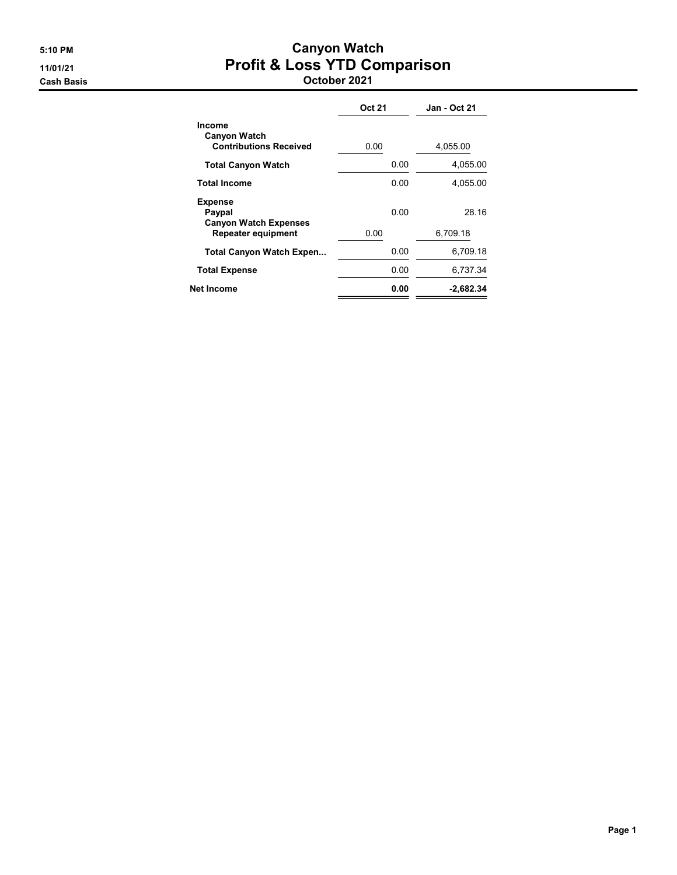#### 5:10 PM Canyon Watch 11/01/21 Profit & Loss YTD Comparison Cash Basis October 2021

|                                                                | <b>Oct 21</b> | <b>Jan - Oct 21</b> |
|----------------------------------------------------------------|---------------|---------------------|
| Income<br><b>Canyon Watch</b><br><b>Contributions Received</b> | 0.00          | 4,055.00            |
| <b>Total Canyon Watch</b>                                      | 0.00          | 4,055.00            |
| <b>Total Income</b>                                            | 0.00          | 4.055.00            |
| <b>Expense</b><br>Paypal<br><b>Canyon Watch Expenses</b>       | 0.00          | 28.16               |
| <b>Repeater equipment</b>                                      | 0.00          | 6,709.18            |
| <b>Total Canyon Watch Expen</b>                                | 0.00          | 6.709.18            |
| <b>Total Expense</b>                                           | 0.00          | 6.737.34            |
| Net Income                                                     | 0.00          | -2,682.34           |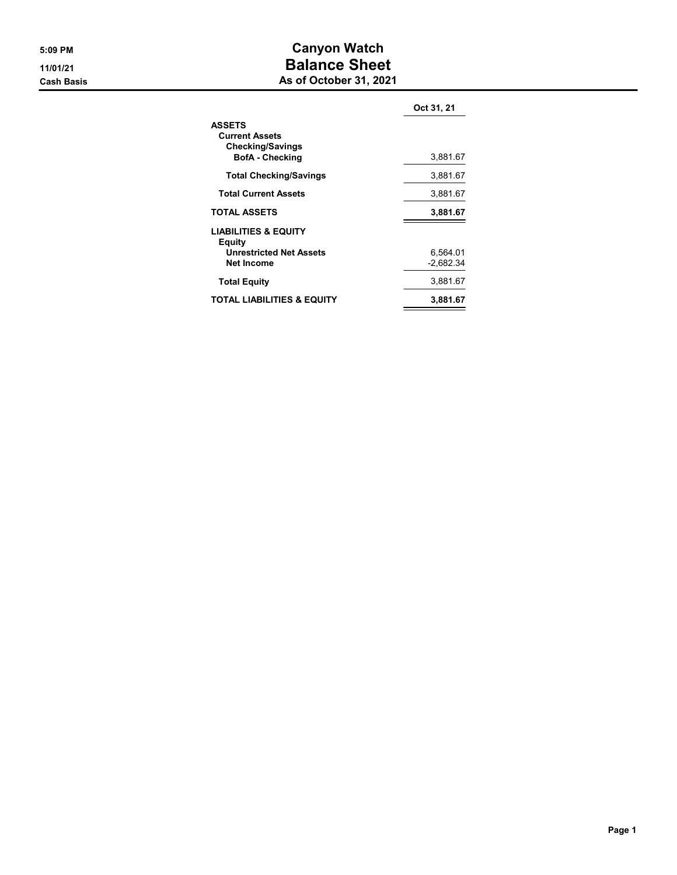#### 5:09 PM Canyon Watch 11/01/21 **Balance Sheet Cash Basis** Cash Basis **As of October 31, 2021**

|                                                                                             | Oct 31, 21              |
|---------------------------------------------------------------------------------------------|-------------------------|
| <b>ASSETS</b><br><b>Current Assets</b><br><b>Checking/Savings</b><br><b>BofA</b> - Checking | 3,881.67                |
| <b>Total Checking/Savings</b>                                                               | 3,881.67                |
| <b>Total Current Assets</b>                                                                 | 3,881.67                |
| <b>TOTAL ASSETS</b>                                                                         | 3,881.67                |
| <b>LIABILITIES &amp; EQUITY</b><br>Equity<br><b>Unrestricted Net Assets</b><br>Net Income   | 6,564.01<br>$-2.682.34$ |
| <b>Total Equity</b>                                                                         | 3,881.67                |
| <b>TOTAL LIABILITIES &amp; EQUITY</b>                                                       | 3.881.67                |
|                                                                                             |                         |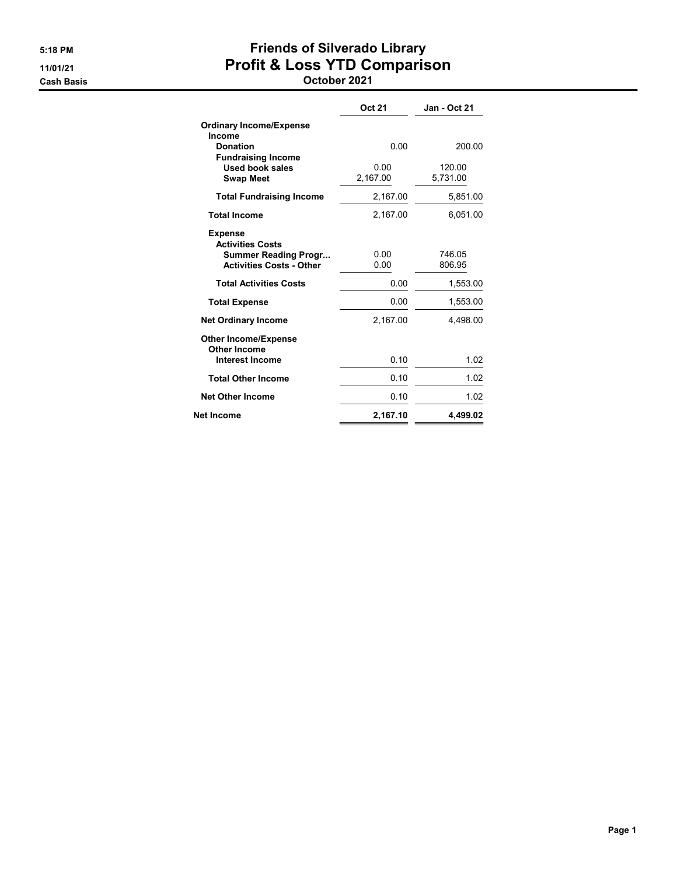# 5:18 PM Friends of Silverado Library 11/01/21 Profit & Loss YTD Comparison

Cash Basis October 2021

|                                                                                                             | <b>Oct 21</b>    | <b>Jan - Oct 21</b> |
|-------------------------------------------------------------------------------------------------------------|------------------|---------------------|
| <b>Ordinary Income/Expense</b><br>Income                                                                    |                  |                     |
| <b>Donation</b>                                                                                             | 0.00             | 200.00              |
| <b>Fundraising Income</b><br><b>Used book sales</b><br><b>Swap Meet</b>                                     | 0.00<br>2,167.00 | 120.00<br>5,731.00  |
| <b>Total Fundraising Income</b>                                                                             | 2,167.00         | 5,851.00            |
| <b>Total Income</b>                                                                                         | 2.167.00         | 6.051.00            |
| <b>Expense</b><br><b>Activities Costs</b><br><b>Summer Reading Progr</b><br><b>Activities Costs - Other</b> | 0.00<br>0.00     | 746.05<br>806.95    |
| <b>Total Activities Costs</b>                                                                               | 0.00             | 1,553.00            |
| <b>Total Expense</b>                                                                                        | 0.00             | 1,553.00            |
| <b>Net Ordinary Income</b>                                                                                  | 2,167.00         | 4,498.00            |
| <b>Other Income/Expense</b><br><b>Other Income</b><br><b>Interest Income</b>                                | 0.10             | 1.02                |
|                                                                                                             |                  |                     |
| <b>Total Other Income</b>                                                                                   | 0.10             | 1.02                |
| <b>Net Other Income</b>                                                                                     | 0.10             | 1.02                |
| Net Income                                                                                                  | 2,167.10         | 4.499.02            |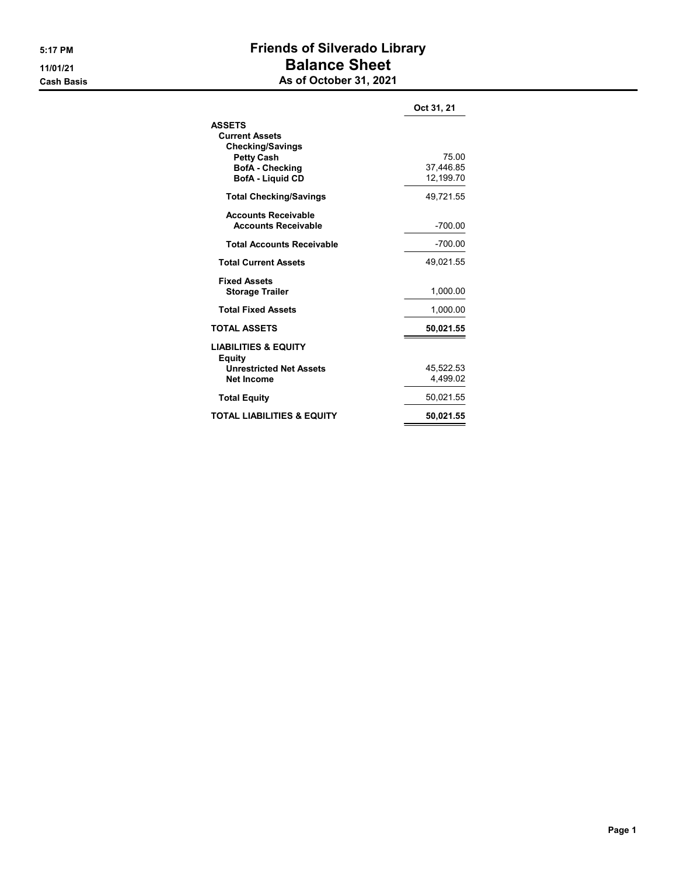### 5:17 PM Friends of Silverado Library 11/01/21 Balance Sheet **Cash Basis** Cash Basis **As of October 31, 2021**

|                                                                        | Oct 31, 21                      |
|------------------------------------------------------------------------|---------------------------------|
| <b>ASSETS</b><br><b>Current Assets</b><br><b>Checking/Savings</b>      |                                 |
| <b>Petty Cash</b><br><b>BofA</b> - Checking<br><b>BofA</b> - Liquid CD | 75.00<br>37.446.85<br>12.199.70 |
| <b>Total Checking/Savings</b>                                          | 49,721.55                       |
| <b>Accounts Receivable</b><br><b>Accounts Receivable</b>               | $-700.00$                       |
| <b>Total Accounts Receivable</b>                                       | -700.00                         |
| <b>Total Current Assets</b>                                            | 49,021.55                       |
| <b>Fixed Assets</b><br><b>Storage Trailer</b>                          | 1,000.00                        |
| <b>Total Fixed Assets</b>                                              | 1,000.00                        |
| <b>TOTAL ASSETS</b>                                                    | 50,021.55                       |
| <b>LIABILITIES &amp; EQUITY</b><br><b>Equity</b>                       |                                 |
| <b>Unrestricted Net Assets</b><br>Net Income                           | 45.522.53<br>4,499.02           |
| <b>Total Equity</b>                                                    | 50,021.55                       |
| TOTAL LIABILITIES & EQUITY                                             | 50,021.55                       |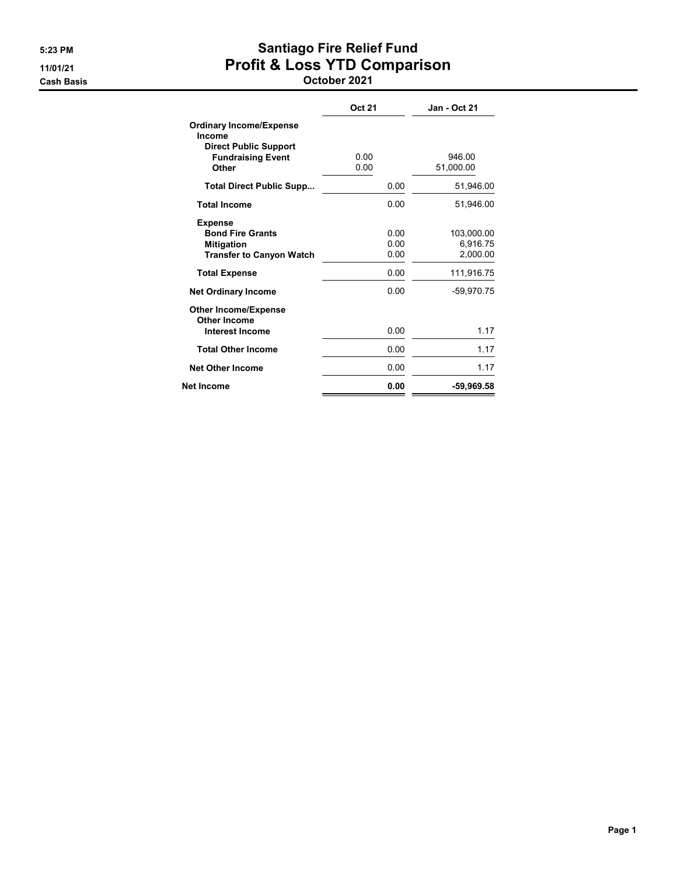## 5:23 PM Santiago Fire Relief Fund 11/01/21 Profit & Loss YTD Comparison

Cash Basis October 2021

|                                                                                                   | Oct 21               | Jan - Oct 21                       |
|---------------------------------------------------------------------------------------------------|----------------------|------------------------------------|
| <b>Ordinary Income/Expense</b><br>Income<br><b>Direct Public Support</b>                          |                      |                                    |
| <b>Fundraising Event</b><br>Other                                                                 | 0.00<br>0.00         | 946.00<br>51,000.00                |
| <b>Total Direct Public Supp</b>                                                                   | 0.00                 | 51,946.00                          |
| <b>Total Income</b>                                                                               | 0.00                 | 51.946.00                          |
| <b>Expense</b><br><b>Bond Fire Grants</b><br><b>Mitigation</b><br><b>Transfer to Canyon Watch</b> | 0.00<br>0.00<br>0.00 | 103,000.00<br>6,916.75<br>2.000.00 |
| <b>Total Expense</b>                                                                              | 0.00                 | 111,916.75                         |
| <b>Net Ordinary Income</b>                                                                        | 0.00                 | -59,970.75                         |
| <b>Other Income/Expense</b><br>Other Income<br><b>Interest Income</b>                             | 0.00                 | 1.17                               |
| <b>Total Other Income</b>                                                                         | 0.00                 | 1.17                               |
| <b>Net Other Income</b>                                                                           | 0.00                 | 1.17                               |
| Net Income                                                                                        | 0.00                 | -59,969.58                         |